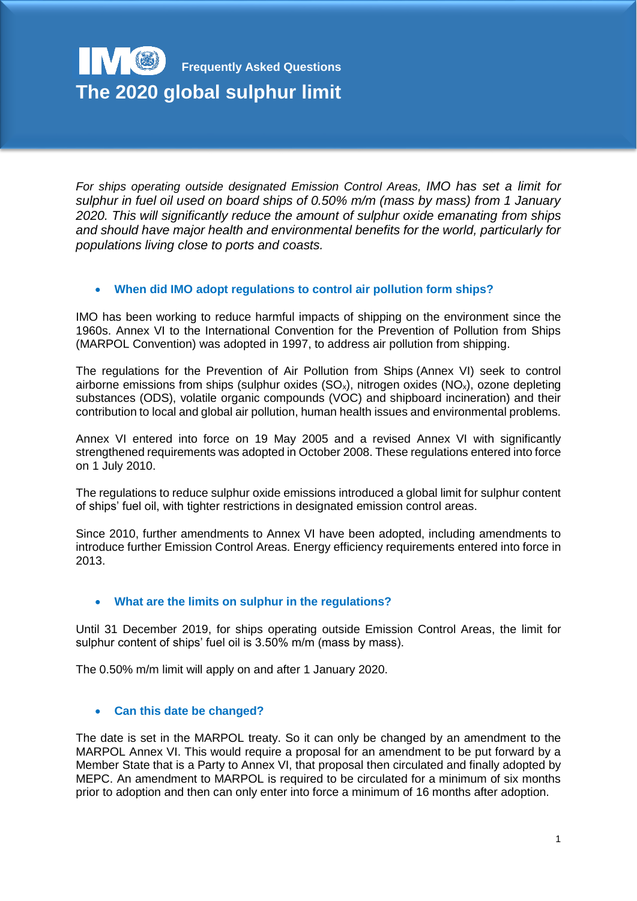# **Frequently Asked Questions The 2020 global sulphur limit**

*For ships operating outside designated Emission Control Areas, IMO has set a limit for sulphur in fuel oil used on board ships of 0.50% m/m (mass by mass) from 1 January 2020. This will significantly reduce the amount of sulphur oxide emanating from ships and should have major health and environmental benefits for the world, particularly for populations living close to ports and coasts.*

# **When did IMO adopt regulations to control air pollution form ships?**

IMO has been working to reduce harmful impacts of shipping on the environment since the 1960s. Annex VI to the International Convention for the Prevention of Pollution from Ships (MARPOL Convention) was adopted in 1997, to address air pollution from shipping.

The regulations for the Prevention of Air Pollution from Ships (Annex VI) seek to control airborne emissions from ships (sulphur oxides  $(SO_x)$ , nitrogen oxides  $(NO_x)$ , ozone depleting substances (ODS), volatile organic compounds (VOC) and shipboard incineration) and their contribution to local and global air pollution, human health issues and environmental problems.

Annex VI entered into force on 19 May 2005 and a revised Annex VI with significantly strengthened requirements was adopted in October 2008. These regulations entered into force on 1 July 2010.

The regulations to reduce sulphur oxide emissions introduced a global limit for sulphur content of ships' fuel oil, with tighter restrictions in designated emission control areas.

Since 2010, further amendments to Annex VI have been adopted, including amendments to introduce further Emission Control Areas. Energy efficiency requirements entered into force in 2013.

## **What are the limits on sulphur in the regulations?**

Until 31 December 2019, for ships operating outside Emission Control Areas, the limit for sulphur content of ships' fuel oil is 3.50% m/m (mass by mass).

The 0.50% m/m limit will apply on and after 1 January 2020.

## **Can this date be changed?**

The date is set in the MARPOL treaty. So it can only be changed by an amendment to the MARPOL Annex VI. This would require a proposal for an amendment to be put forward by a Member State that is a Party to Annex VI, that proposal then circulated and finally adopted by MEPC. An amendment to MARPOL is required to be circulated for a minimum of six months prior to adoption and then can only enter into force a minimum of 16 months after adoption.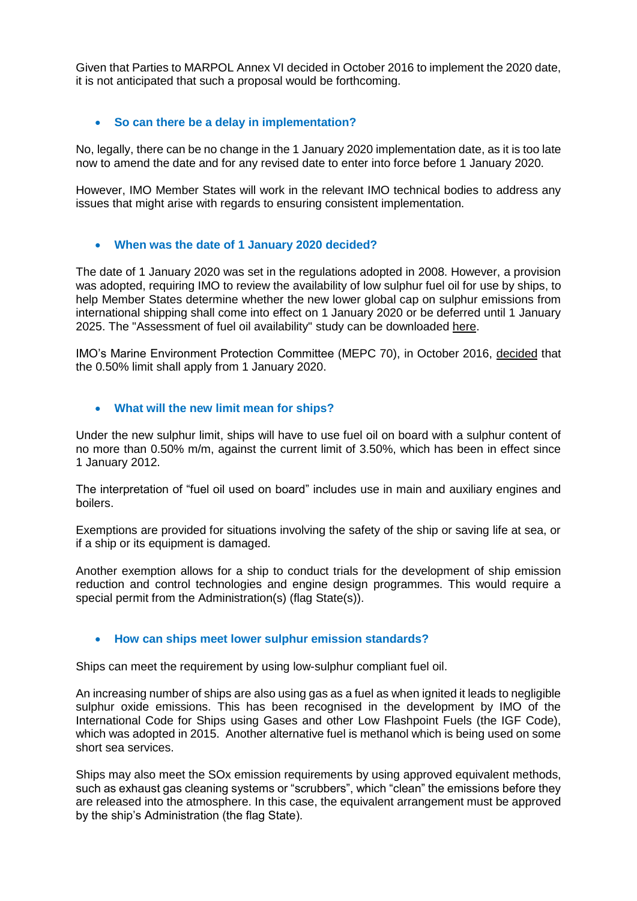Given that Parties to MARPOL Annex VI decided in October 2016 to implement the 2020 date, it is not anticipated that such a proposal would be forthcoming.

## **So can there be a delay in implementation?**

No, legally, there can be no change in the 1 January 2020 implementation date, as it is too late now to amend the date and for any revised date to enter into force before 1 January 2020.

However, IMO Member States will work in the relevant IMO technical bodies to address any issues that might arise with regards to ensuring consistent implementation.

#### **When was the date of 1 January 2020 decided?**

The date of 1 January 2020 was set in the regulations adopted in 2008. However, a provision was adopted, requiring IMO to review the availability of low sulphur fuel oil for use by ships, to help Member States determine whether the new lower global cap on sulphur emissions from international shipping shall come into effect on 1 January 2020 or be deferred until 1 January 2025. The "Assessment of fuel oil availability" study can be downloaded [here.](http://www.imo.org/en/OurWork/Documents/MEPC%2070-INF.6%20-%20Assessment%20of%20fuel%20oil%20availability.pdf)

IMO's Marine Environment Protection Committee (MEPC 70), in October 2016, [decided](http://www.imo.org/en/MediaCentre/PressBriefings/Pages/MEPC-70-2020sulphur.aspx) that the 0.50% limit shall apply from 1 January 2020.

#### **What will the new limit mean for ships?**

Under the new sulphur limit, ships will have to use fuel oil on board with a sulphur content of no more than 0.50% m/m, against the current limit of 3.50%, which has been in effect since 1 January 2012.

The interpretation of "fuel oil used on board" includes use in main and auxiliary engines and boilers.

Exemptions are provided for situations involving the safety of the ship or saving life at sea, or if a ship or its equipment is damaged.

Another exemption allows for a ship to conduct trials for the development of ship emission reduction and control technologies and engine design programmes. This would require a special permit from the Administration(s) (flag State(s)).

#### **How can ships meet lower sulphur emission standards?**

Ships can meet the requirement by using low-sulphur compliant fuel oil.

An increasing number of ships are also using gas as a fuel as when ignited it leads to negligible sulphur oxide emissions. This has been recognised in the development by IMO of the International Code for Ships using Gases and other Low Flashpoint Fuels (the IGF Code), which was adopted in 2015. Another alternative fuel is methanol which is being used on some short sea services.

Ships may also meet the SOx emission requirements by using approved equivalent methods, such as exhaust gas cleaning systems or "scrubbers", which "clean" the emissions before they are released into the atmosphere. In this case, the equivalent arrangement must be approved by the ship's Administration (the flag State).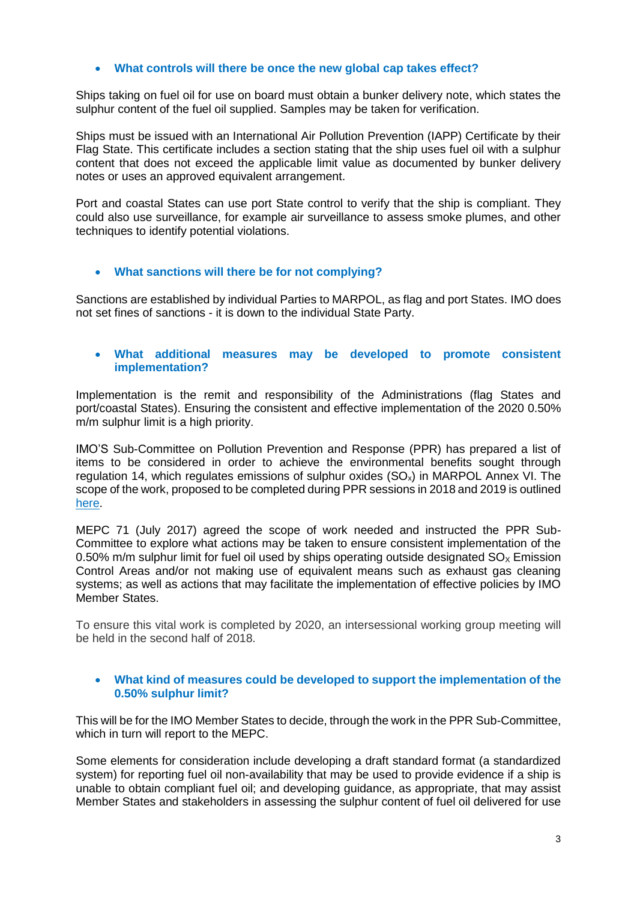## **What controls will there be once the new global cap takes effect?**

Ships taking on fuel oil for use on board must obtain a bunker delivery note, which states the sulphur content of the fuel oil supplied. Samples may be taken for verification.

Ships must be issued with an International Air Pollution Prevention (IAPP) Certificate by their Flag State. This certificate includes a section stating that the ship uses fuel oil with a sulphur content that does not exceed the applicable limit value as documented by bunker delivery notes or uses an approved equivalent arrangement.

Port and coastal States can use port State control to verify that the ship is compliant. They could also use surveillance, for example air surveillance to assess smoke plumes, and other techniques to identify potential violations.

## **What sanctions will there be for not complying?**

Sanctions are established by individual Parties to MARPOL, as flag and port States. IMO does not set fines of sanctions - it is down to the individual State Party.

## **What additional measures may be developed to promote consistent implementation?**

Implementation is the remit and responsibility of the Administrations (flag States and port/coastal States). Ensuring the consistent and effective implementation of the 2020 0.50% m/m sulphur limit is a high priority.

IMO'S Sub-Committee on Pollution Prevention and Response (PPR) has prepared a list of items to be considered in order to achieve the environmental benefits sought through regulation 14, which regulates emissions of sulphur oxides  $(SO<sub>x</sub>)$  in MARPOL Annex VI. The scope of the work, proposed to be completed during PPR sessions in 2018 and 2019 is outlined [here.](http://www.imo.org/en/MediaCentre/MeetingSummaries/PPR/Pages/PPR-4th-Session-(global-sulphur-limit-implementation).aspx)

MEPC 71 (July 2017) agreed the scope of work needed and instructed the PPR Sub-Committee to explore what actions may be taken to ensure consistent implementation of the 0.50% m/m sulphur limit for fuel oil used by ships operating outside designated  $SO<sub>x</sub>$  Emission Control Areas and/or not making use of equivalent means such as exhaust gas cleaning systems; as well as actions that may facilitate the implementation of effective policies by IMO Member States.

To ensure this vital work is completed by 2020, an intersessional working group meeting will be held in the second half of 2018.

## **What kind of measures could be developed to support the implementation of the 0.50% sulphur limit?**

This will be for the IMO Member States to decide, through the work in the PPR Sub-Committee, which in turn will report to the MEPC.

Some elements for consideration include developing a draft standard format (a standardized system) for reporting fuel oil non-availability that may be used to provide evidence if a ship is unable to obtain compliant fuel oil; and developing guidance, as appropriate, that may assist Member States and stakeholders in assessing the sulphur content of fuel oil delivered for use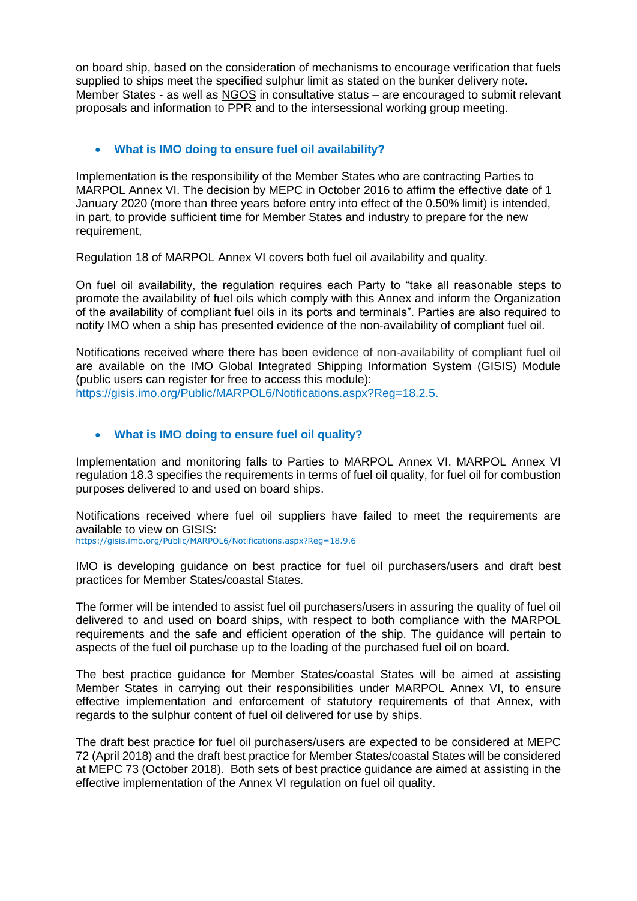on board ship, based on the consideration of mechanisms to encourage verification that fuels supplied to ships meet the specified sulphur limit as stated on the bunker delivery note. Member States - as well as [NGOS](http://www.imo.org/en/About/Membership/Pages/NGOsInConsultativeStatus.aspx) in consultative status – are encouraged to submit relevant proposals and information to PPR and to the intersessional working group meeting.

## **What is IMO doing to ensure fuel oil availability?**

Implementation is the responsibility of the Member States who are contracting Parties to MARPOL Annex VI. The decision by MEPC in October 2016 to affirm the effective date of 1 January 2020 (more than three years before entry into effect of the 0.50% limit) is intended, in part, to provide sufficient time for Member States and industry to prepare for the new requirement,

Regulation 18 of MARPOL Annex VI covers both fuel oil availability and quality.

On fuel oil availability, the regulation requires each Party to "take all reasonable steps to promote the availability of fuel oils which comply with this Annex and inform the Organization of the availability of compliant fuel oils in its ports and terminals". Parties are also required to notify IMO when a ship has presented evidence of the non-availability of compliant fuel oil.

Notifications received where there has been evidence of non-availability of compliant fuel oil are available on the IMO Global Integrated Shipping Information System (GISIS) Module (public users can register for free to access this module): [https://gisis.imo.org/Public/MARPOL6/Notifications.aspx?Reg=18.2.5.](https://gisis.imo.org/Public/MARPOL6/Notifications.aspx?Reg=18.2.5)

## **What is IMO doing to ensure fuel oil quality?**

Implementation and monitoring falls to Parties to MARPOL Annex VI. MARPOL Annex VI regulation 18.3 specifies the requirements in terms of fuel oil quality, for fuel oil for combustion purposes delivered to and used on board ships.

Notifications received where fuel oil suppliers have failed to meet the requirements are available to view on GISIS:

<https://gisis.imo.org/Public/MARPOL6/Notifications.aspx?Reg=18.9.6>

IMO is developing guidance on best practice for fuel oil purchasers/users and draft best practices for Member States/coastal States.

The former will be intended to assist fuel oil purchasers/users in assuring the quality of fuel oil delivered to and used on board ships, with respect to both compliance with the MARPOL requirements and the safe and efficient operation of the ship. The guidance will pertain to aspects of the fuel oil purchase up to the loading of the purchased fuel oil on board.

The best practice guidance for Member States/coastal States will be aimed at assisting Member States in carrying out their responsibilities under MARPOL Annex VI, to ensure effective implementation and enforcement of statutory requirements of that Annex, with regards to the sulphur content of fuel oil delivered for use by ships.

The draft best practice for fuel oil purchasers/users are expected to be considered at MEPC 72 (April 2018) and the draft best practice for Member States/coastal States will be considered at MEPC 73 (October 2018). Both sets of best practice guidance are aimed at assisting in the effective implementation of the Annex VI regulation on fuel oil quality.